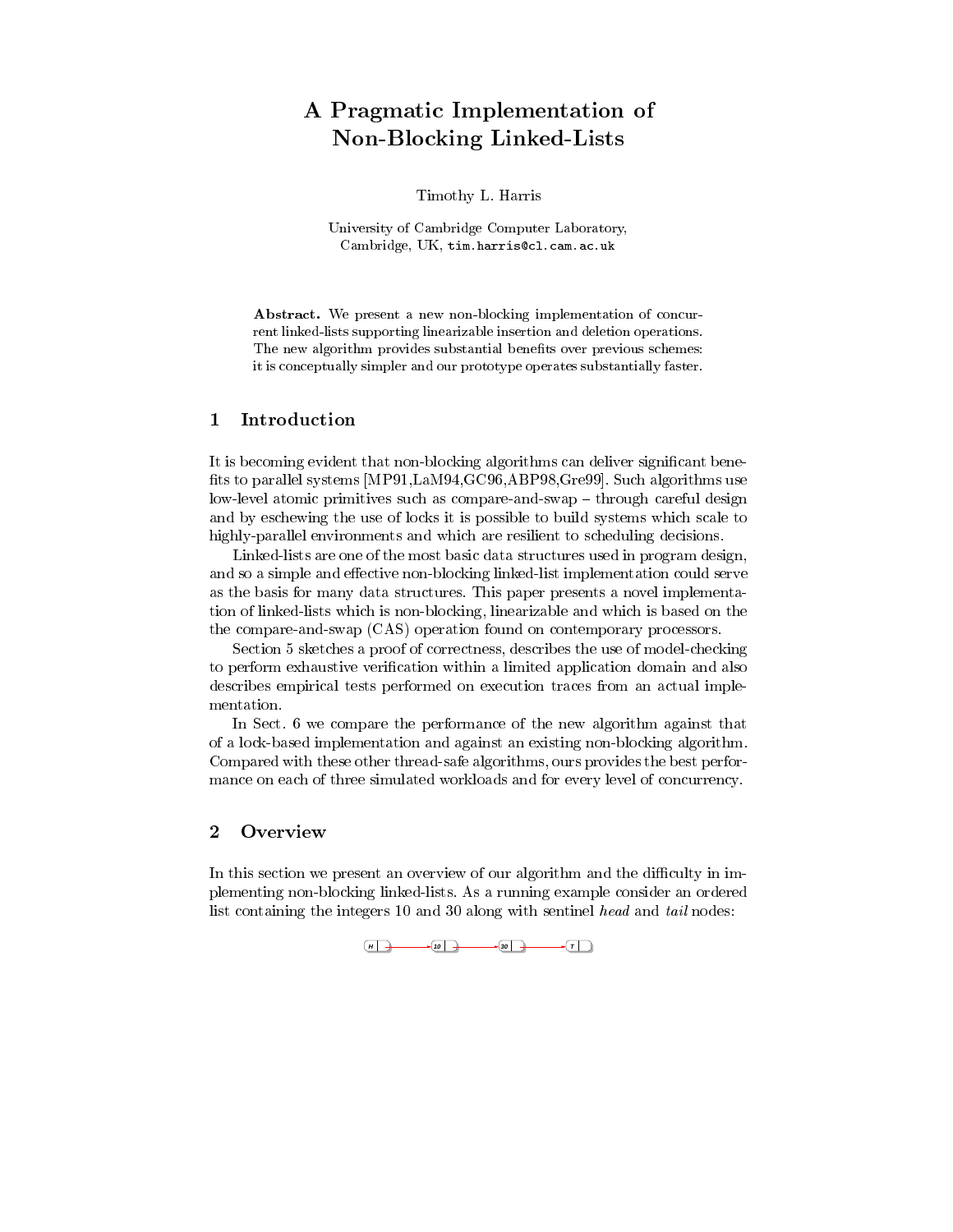# A Pragmatic Implementation of **Non-Blocking Linked-Lists**

Timothy L. Harris

University of Cambridge Computer Laboratory, Cambridge, UK, tim.harris@cl.cam.ac.uk

Abstract. We present a new non-blocking implementation of concurrent linked-lists supporting linearizable insertion and deletion operations. The new algorithm provides substantial benefits over previous schemes: it is conceptually simpler and our prototype operates substantially faster.

# $\mathbf{1}$ Introduction

It is becoming evident that non-blocking algorithms can deliver significant benefits to parallel systems [MP91,LaM94,GC96,ABP98,Gre99]. Such algorithms use  $low-level atomic$  primitives such as compare-and-swap  $-$  through careful design and by eschewing the use of locks it is possible to build systems which scale to highly-parallel environments and which are resilient to scheduling decisions.

Linked-lists are one of the most basic data structures used in program design, and so a simple and effective non-blocking linked-list implementation could serve as the basis for many data structures. This paper presents a novel implementation of linked-lists which is non-blocking, linearizable and which is based on the the compare-and-swap (CAS) operation found on contemporary processors.

Section 5 sketches a proof of correctness, describes the use of model-checking to perform exhaustive verification within a limited application domain and also describes empirical tests performed on execution traces from an actual implementation.

In Sect. 6 we compare the performance of the new algorithm against that of a lock-based implementation and against an existing non-blocking algorithm. Compared with these other thread-safe algorithms, ours provides the best performance on each of three simulated workloads and for every level of concurrency.

## $\overline{2}$ Overview

In this section we present an overview of our algorithm and the difficulty in implementing non-blocking linked-lists. As a running example consider an ordered list containing the integers 10 and 30 along with sentinel head and tail nodes:

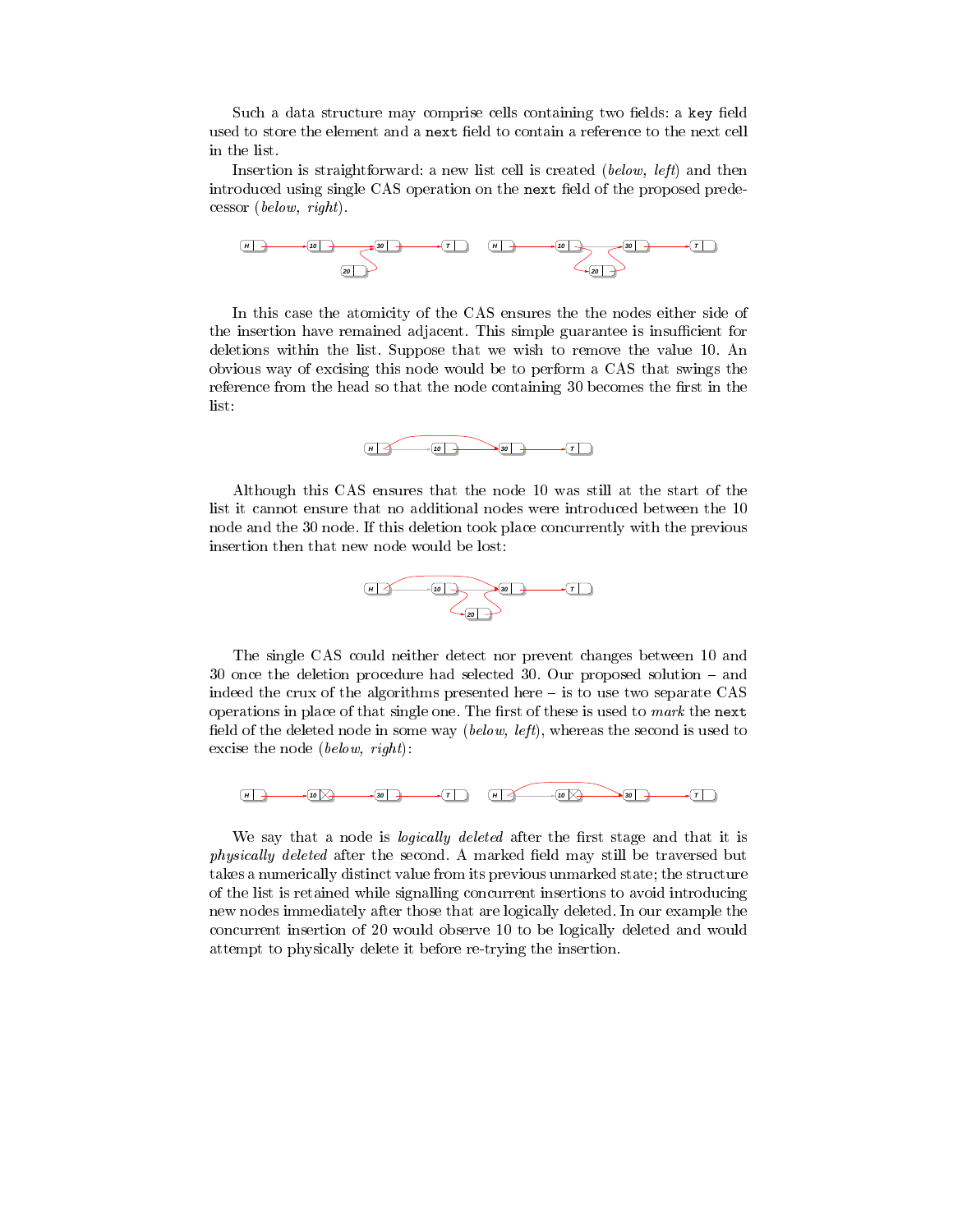Such a data structure may comprise cells containing two fields: a key field used to store the element and a next field to contain a reference to the next cell in the list.

Insertion is straightforward: a new list cell is created (below, left) and then introduced using single CAS operation on the next field of the proposed prede- $\cos \sigma$  (*below, right*).



In this case the atomicity of the CAS ensures the the nodes either side of the insertion have remained adjacent. This simple guarantee is insufficient for deletions within the list. Suppose that we wish to remove the value 10. An obvious way of excising this node would be to perform a CAS that swings the reference from the head so that the node containing 30 becomes the first in the list:



Although this CAS ensures that the node 10 was still at the start of the list it cannot ensure that no additional nodes were introduced between the 10 node and the 30 node. If this deletion took place concurrently with the previous insertion then that new node would be lost:



The single CAS could neither detect nor prevent changes between 10 and 30 once the deletion procedure had selected 30. Our proposed solution  $-$  and indeed the crux of the algorithms presented here  $-$  is to use two separate CAS operations in place of that single one. The first of these is used to  $mark$  the next field of the deleted node in some way (below, left), whereas the second is used to excise the node (below, right):



We say that a node is *logically deleted* after the first stage and that it is *physically deleted* after the second. A marked field may still be traversed but takes a numerically distinct value from its previous unmarked state; the structure of the list is retained while signalling concurrent insertions to avoid introducing new nodes immediately after those that are logically deleted. In our example the concurrent insertion of 20 would observe 10 to be logically deleted and would attempt to physically delete it before re-trying the insertion.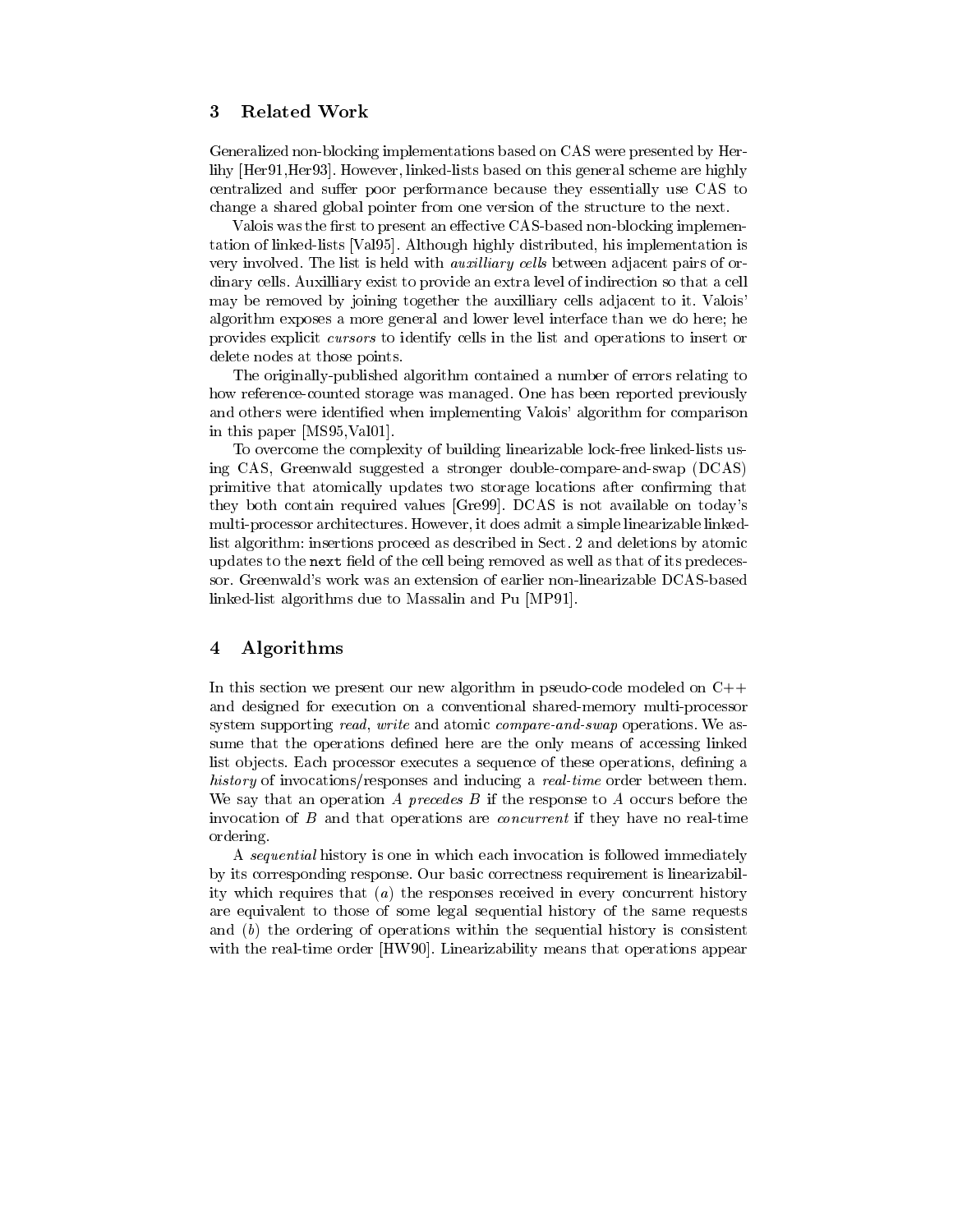# **Related Work** 3

Generalized non-blocking implementations based on CAS were presented by Herlihy [Her91, Her93]. However, linked-lists based on this general scheme are highly centralized and suffer poor performance because they essentially use CAS to change a shared global pointer from one version of the structure to the next.

Valois was the first to present an effective CAS-based non-blocking implementation of linked-lists [Val95]. Although highly distributed, his implementation is very involved. The list is held with *auxiliary cells* between adjacent pairs of ordinary cells. Auxilliary exist to provide an extra level of indirection so that a cell may be removed by joining together the auxilliary cells adjacent to it. Valois' algorithm exposes a more general and lower level interface than we do here; he provides explicit *cursors* to identify cells in the list and operations to insert or delete nodes at those points.

The originally-published algorithm contained a number of errors relating to how reference-counted storage was managed. One has been reported previously and others were identified when implementing Valois' algorithm for comparison in this paper [MS95, Val01].

To overcome the complexity of building linearizable lock-free linked-lists using CAS, Greenwald suggested a stronger double-compare-and-swap (DCAS) primitive that atomically updates two storage locations after confirming that they both contain required values [Gre99]. DCAS is not available on today's multi-processor architectures. However, it does admit a simple linearizable linkedlist algorithm: insertions proceed as described in Sect. 2 and deletions by atomic updates to the next field of the cell being removed as well as that of its predecessor. Greenwald's work was an extension of earlier non-linearizable DCAS-based linked-list algorithms due to Massalin and Pu [MP91].

#### $\overline{4}$ Algorithms

In this section we present our new algorithm in pseudo-code modeled on  $C_{++}$ and designed for execution on a conventional shared-memory multi-processor system supporting read, write and atomic compare-and-swap operations. We assume that the operations defined here are the only means of accessing linked list objects. Each processor executes a sequence of these operations, defining a history of invocations/responses and inducing a real-time order between them. We say that an operation A precedes B if the response to A occurs before the invocation of B and that operations are *concurrent* if they have no real-time ordering.

A sequential history is one in which each invocation is followed immediately by its corresponding response. Our basic correctness requirement is linearizability which requires that (a) the responses received in every concurrent history are equivalent to those of some legal sequential history of the same requests and  $(b)$  the ordering of operations within the sequential history is consistent with the real-time order [HW90]. Linearizability means that operations appear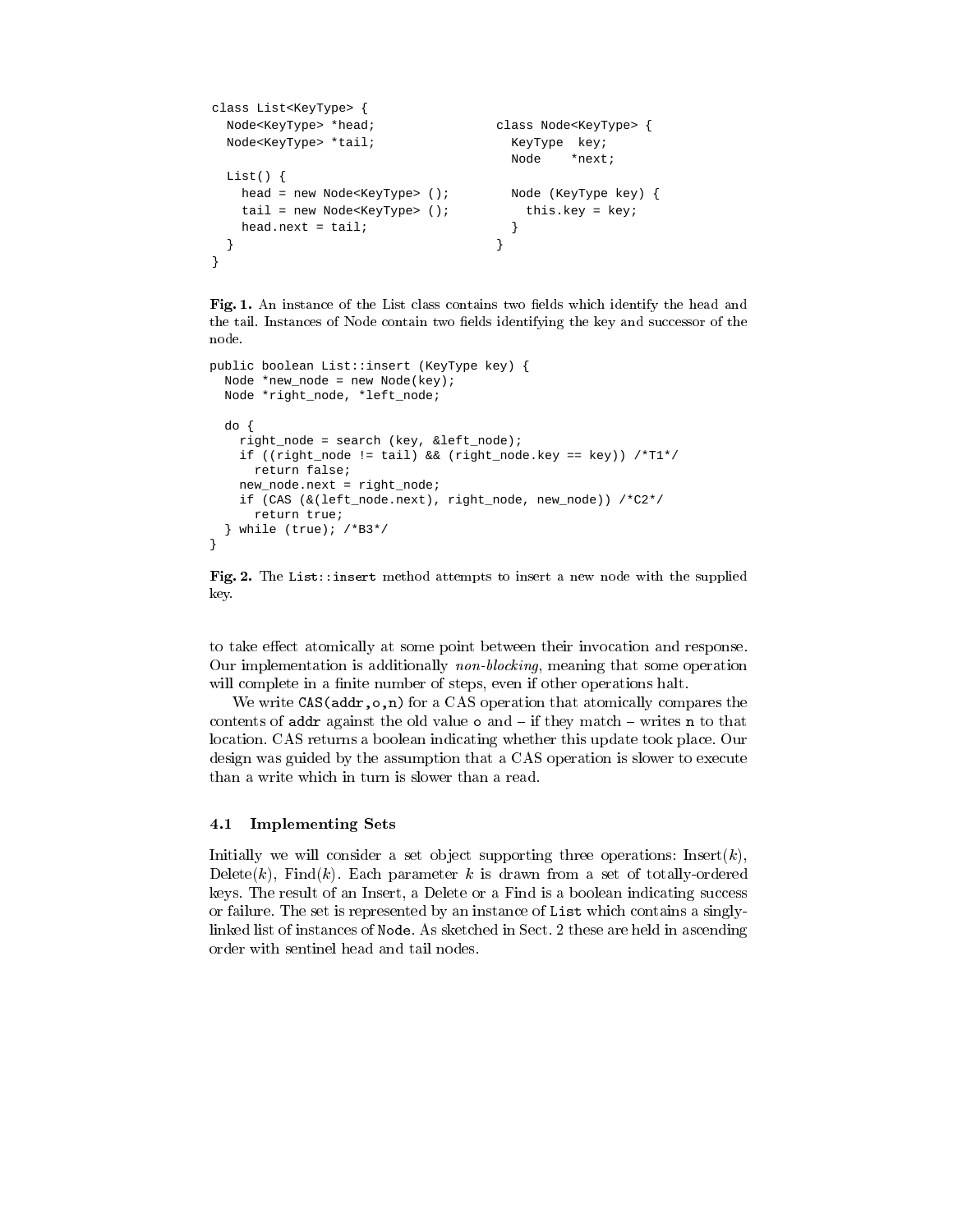```
class List<KeyType> {
 Node<KeyType> *head;
 Node<KeyType> *tail;
 List() {
   head = new Node<KeyType> ();
   tail = new Node<KeyType> ();
   head.next = tail;
  }
}
                                     class Node<KeyType> {
                                      KeyType key;
                                       Node *next;
                                       Node (KeyType key) {
                                         this.key = key;
                                        }
                                      }
```
 " - -  - - --    $\mathcal{H} = \mathbf{H} \mathbf{R}$ node

```
public boolean List::insert (KeyType key) {
 Node *new_node = new Node(key);
 Node *right_node, *left_node;
 do {
   right_node = search (key, &left_node);
   if ((right_node != tail) && (right_node.key == key)) /*T1*/
     return false;
   new_node.next = right_node;
    if (CAS (&(left_node.next), right_node, new_node)) /*C2*/
     return true;
  } while (true); /*B3*/
}
```
 $-$  . The model contracts therefore accember to model a new model can calculate  $\sim$ key.

to take effect atomically at some point between their invocation and response. Our implementation is additionally *non-blocking*, meaning that some operation will complete in a finite number of steps, even if other operations halt.

We write  $\texttt{CAS}\left(\mathtt{addr},\mathtt{o},\mathtt{n}\right)$  for a  $\texttt{CAS}\right.$  operation that atomically compares the contents of  $\mathtt{addr}$  against the old value  $\mathtt{o}$  and  $-\text{ if they match } - \text{ writes } \mathtt{n}$  to that location. CAS returns a boolean indicating whether this update took place. Our design was guided by the assumption that a CAS operation is slower to execute  $\,$  than a write which in turn is slower than a read.  $\,$ 

#### $4.1$

Initially we will consider a set object supporting three operations: Insert $(k)$ , Delete $(k)$ , Find $(k)$ . Each parameter k is drawn from a set of totally-ordered keys. The result of an Insert, a Delete or a Find is a boolean indicating success or failure. The set is represented by an instance of List which contains a singlylinked list of instances of Node. As sketched in Sect. 2 these are held in ascending order with sentinel head and tail nodes.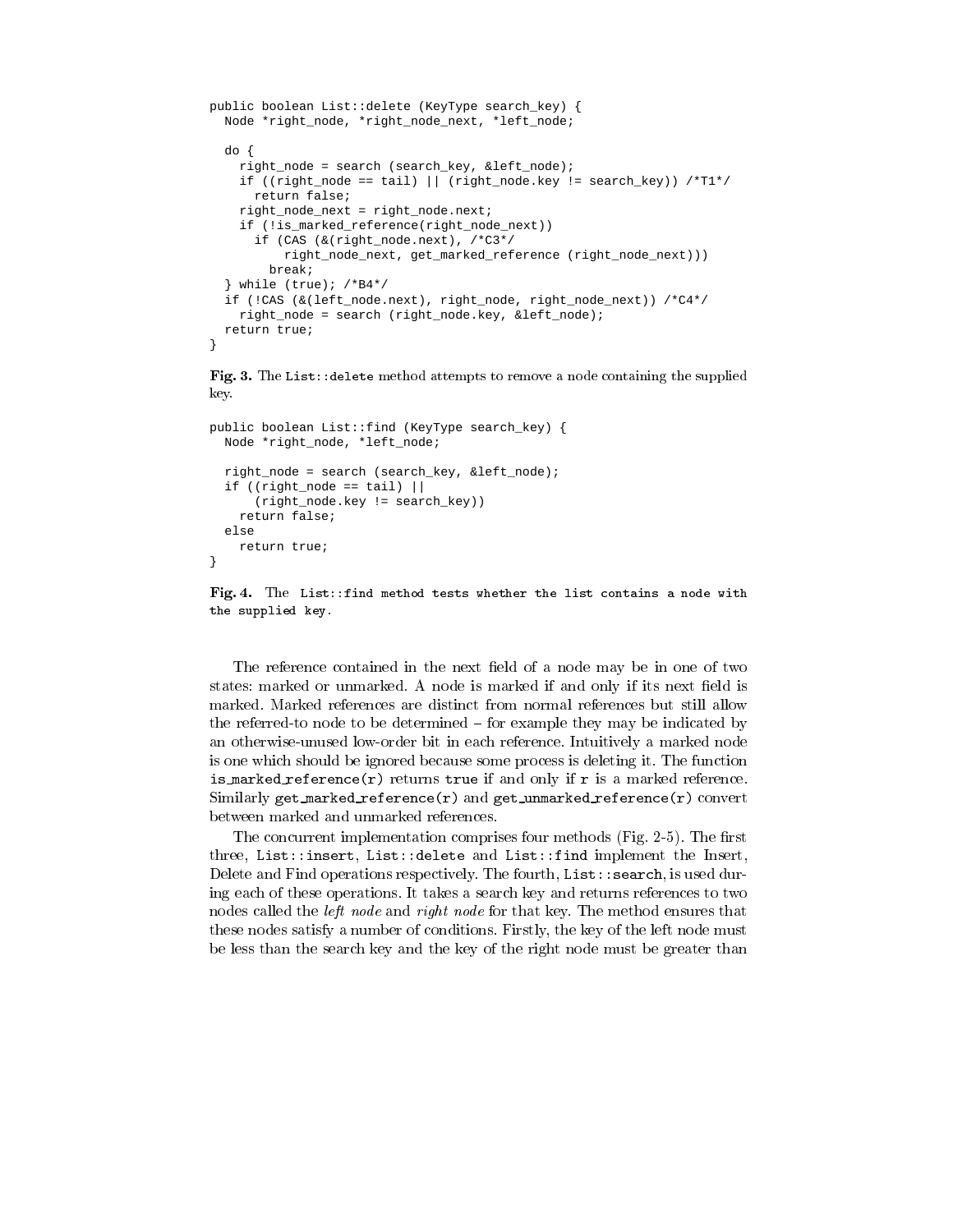```
public boolean List::delete (KeyType search_key) {
 Node *right_node, *right_node_next, *left_node;
 do {
   right_node = search (search_key, &left_node);
   if ((right_node == tail) || (right_node.key != search_key)) /*T1*/
     return false;
   right_node_next = right_node.next;
   if (!is_marked_reference(right_node_next))
      if (CAS (&(right_node.next), /*C3*/
          right_node_next, get_marked_reference (right_node_next)))
       break;
  \} while (true); /*B4*/if (!CAS (&(left_node.next), right_node, right_node_next)) /*C4*/
   right_node = search (right_node.key, &left_node);
 return true;
}
```
 $-$  . And  $-$  200  $-$  200  $-$  200  $-$  200  $-$  200  $-$  200  $-$  200  $-$  200  $-$  200  $-$  200  $-$  200  $-$  200  $-$  200  $-$  200  $-$  200  $-$  200  $-$  200  $-$  200  $-$  200  $-$  200  $-$  200  $-$  200  $-$  200  $-$  200  $-$  200  $-$  200  $$ key.

```
public boolean List::find (KeyType search_key) {
 Node *right_node, *left_node;
 right_node = search (search_key, &left_node);
 if ((right-node == tail) ||)(right_node.key != search_key))
    return false;
 else
    return true;
}
```
time it in the state international concert which also the time contexting a house within the second state of t the contract of the contract of the contract of the contract of the contract of the contract of the contract of

The reference contained in the next field of a node may be in one of two states: marked or unmarked. A node is marked if and only if its next field is marked. Marked references are distinct from normal references but still allow the referred-to node to be determined – for example they may be indicated by an otherwise-unused low-order bit in each reference. Intuitively a marked node is one which should be ignored because some process is deleting it. The function is\_marked\_reference(r) returns true if and only if r is a marked reference.  $\blacksquare$  $\operatorname{Similarly}$  get\_marked\_reference(r) and get\_unmarked\_reference(r) convert between marked and unmarked references.  $\hspace{0.1cm}$ 

The concurrent implementation comprises four methods (Fig. 2-5). The first  $\tt three, \; List::insert, \; List::delete \; and \; List::find \; implement \; the \; Insert,$ Delete and Find operations respectively. The fourth, <code>List::search</code>, is used during each of these operations. It takes a search key and returns references to two nodes called the *left node* and *right node* for that key. The method ensures that these nodes satisfy a number of conditions. Firstly, the key of the left node must be less than the search key and the key of the right node must be greater than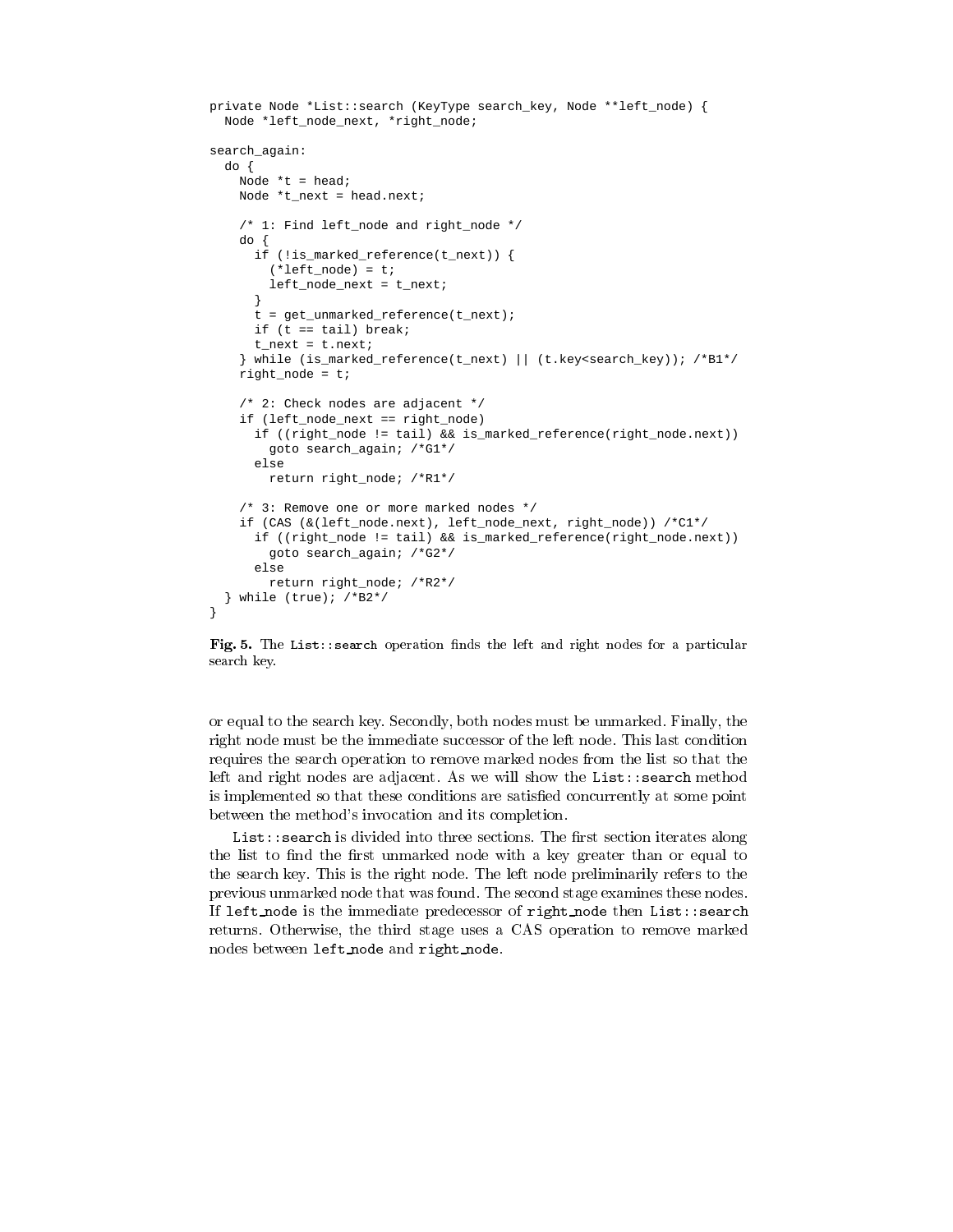```
private Node *List::search (KeyType search_key, Node **left_node) {
 Node *left_node_next, *right_node;
search_again:
 do {
   Node *t = head;Node *t_next = head.next;
    /* 1: Find left_node and right_node */
    do {
      if (!is marked reference(t next)) {
        (*left_model) = tileft_node_next = t_next;
      }
      t = get_unmarked_reference(t_next);
     if (t == tail) break;
     t_next = t.next;
    } while (is_marked_reference(t_next) || (t.key<search_key)); /*B1*/
    right\_node = t;
    /* 2: Check nodes are adjacent */
    if (left_node_next == right_node)
      if ((right_node != tail) && is_marked_reference(right_node.next))
       goto search_again; /*G1*/
      else
       return right_node; /*R1*/
    /* 3: Remove one or more marked nodes */
    if (CAS (&(left_node.next), left_node_next, right_node)) /*C1*/
      if ((right_node != tail) && is_marked_reference(right_node.next))
        goto search_again; /*G2*/
      else
        return right_node; /*R2*/
   } while (true); /*B2*/
}
```
 $-$  . The model is the second of the state of the second state in the second of  $\alpha$  parameters. search key.

or equal to the search key. Secondly, both nodes must be unmarked. Finally, the right node must be the immediate successor of the left node. This last condition requires the search operation to remove marked nodes from the list so that the left and right nodes are adjacent. As we will show the List::search method is implemented so that these conditions are satisfied concurrently at some point between the method's invocation and its completion.  $\hspace{0.1mm}$ 

List::search is divided into three sections. The first section iterates along the list to find the first unmarked node with a key greater than or equal to the search key. This is the right node. The left node preliminarily refers to the  $\,$  previous unmarked node  $\,$  that  $\,$  was found. The second stage examines these nodes.  $\,$ If left\_node is the immediate predecessor of right\_node then List::search returns. Otherwise, the third stage uses a CAS operation to remove marked nodes between left\_node and right\_node.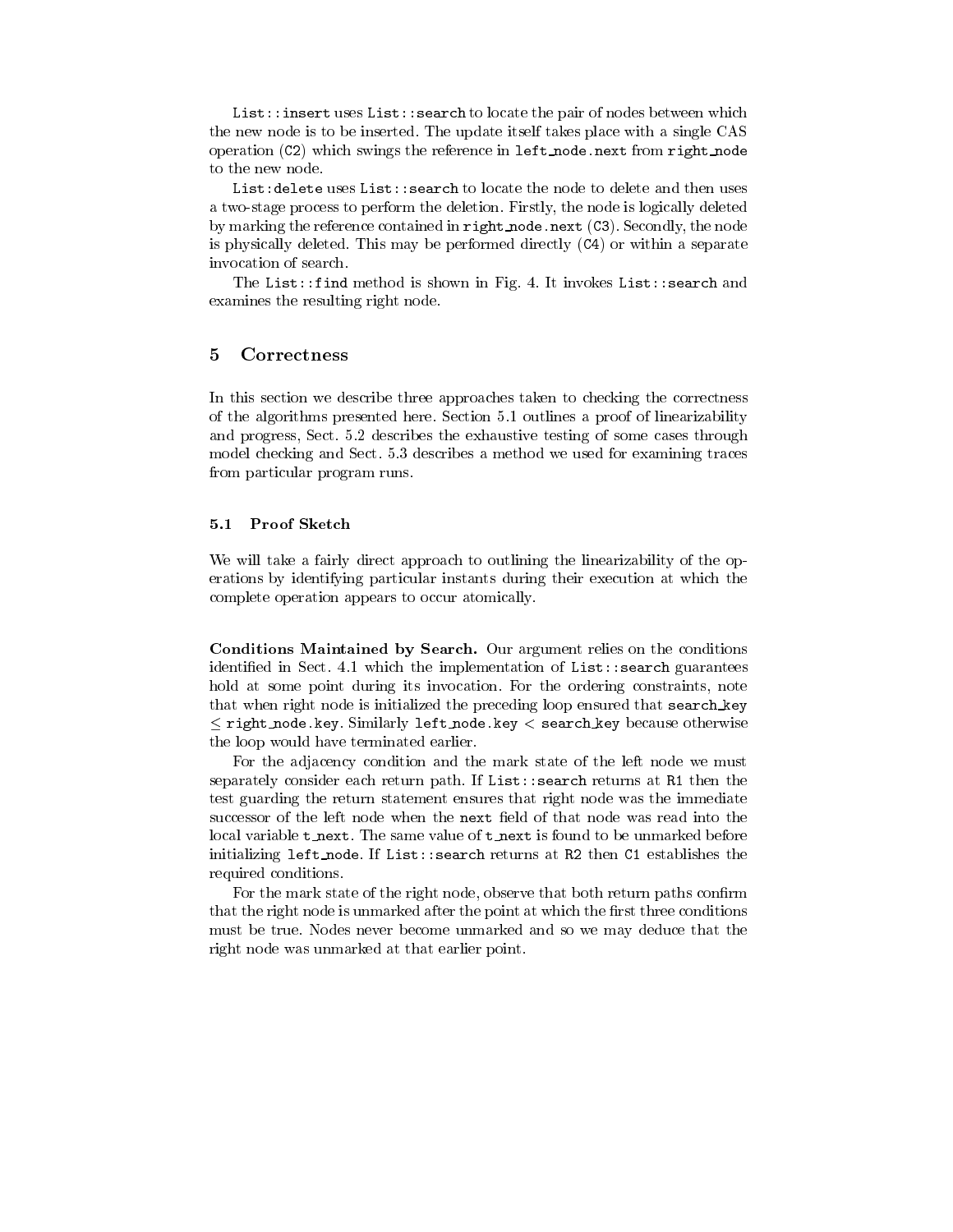List::insert uses List::search to locate the pair of nodes between which the new node is to be inserted. The update itself takes place with a single CAS operation (C2) which swings the reference in left\_node.next from right\_node to the new node.

List: delete uses List:: search to locate the node to delete and then uses a two-stage process to perform the deletion. Firstly, the node is logically deleted by marking the reference contained in right node . next (C3). Secondly, the node is physically deleted. This may be performed directly (C4) or within a separate invocation of search.

The List:: find method is shown in Fig. 4. It invokes List:: search and examines the resulting right node.

## $\mathbf{5}$ Correctness

In this section we describe three approaches taken to checking the correctness of the algorithms presented here. Section 5.1 outlines a proof of linearizability and progress, Sect. 5.2 describes the exhaustive testing of some cases through model checking and Sect. 5.3 describes a method we used for examining traces from particular program runs.

#### $5.1$ **Proof Sketch**

We will take a fairly direct approach to outlining the linearizability of the operations by identifying particular instants during their execution at which the complete operation appears to occur atomically.

Conditions Maintained by Search. Our argument relies on the conditions identified in Sect. 4.1 which the implementation of List::search guarantees hold at some point during its invocation. For the ordering constraints, note that when right node is initialized the preceding loop ensured that search key  $\leq$  right node. key. Similarly left node. key  $<$  search key because otherwise the loop would have terminated earlier.

For the adjacency condition and the mark state of the left node we must separately consider each return path. If List: : search returns at R1 then the test guarding the return statement ensures that right node was the immediate successor of the left node when the next field of that node was read into the local variable t\_next. The same value of t\_next is found to be unmarked before initializing left\_node. If List::search returns at R2 then C1 establishes the required conditions.

For the mark state of the right node, observe that both return paths confirm that the right node is unmarked after the point at which the first three conditions must be true. Nodes never become unmarked and so we may deduce that the right node was unmarked at that earlier point.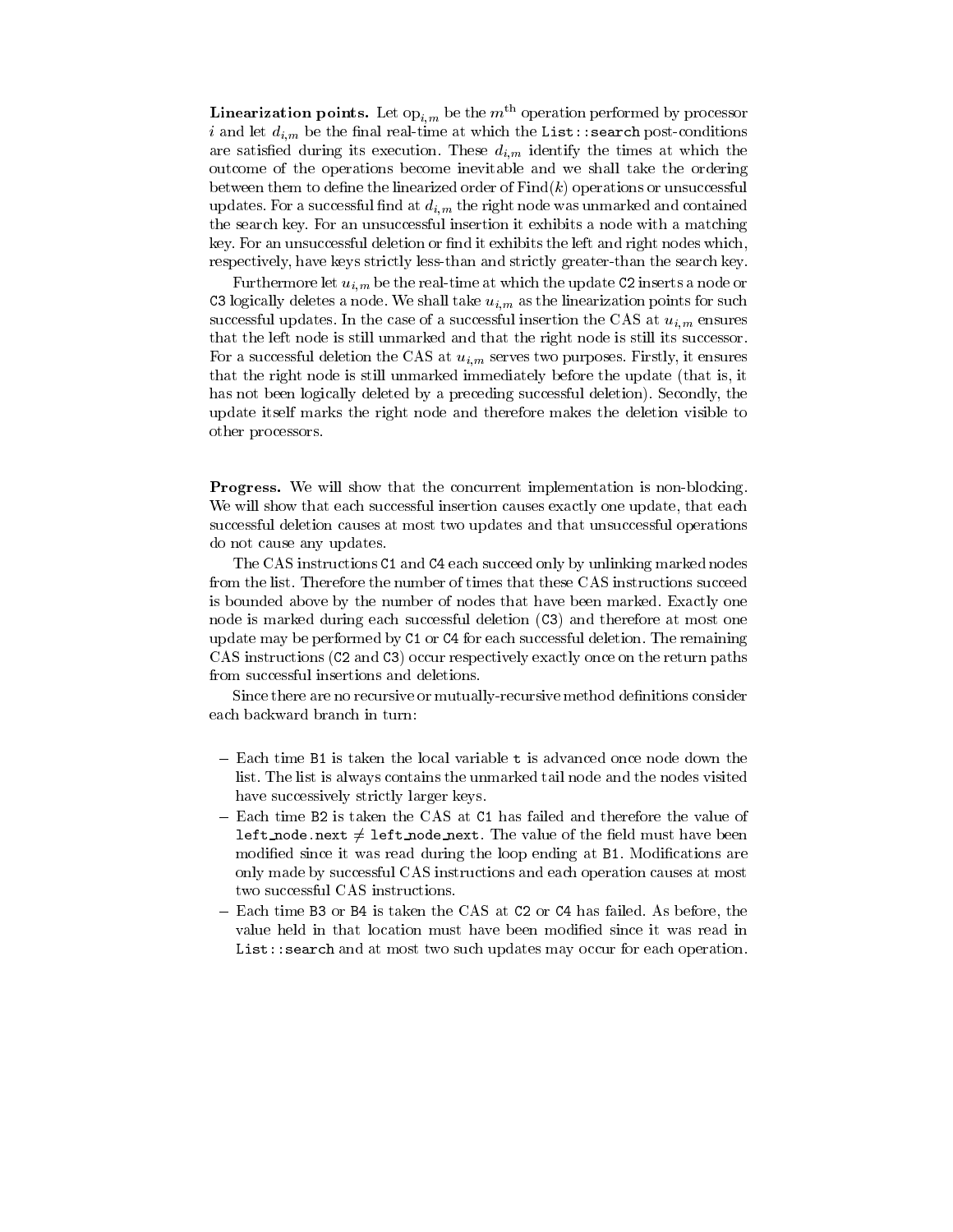**Linearization points.** Let  $op_{i,m}$  be the  $m^{th}$  operation performed by processor i and let  $d_{i,m}$  be the final real-time at which the List::search post-conditions are satisfied during its execution. These  $d_{i,m}$  identify the times at which the outcome of the operations become inevitable and we shall take the ordering between them to define the linearized order of  $Find(k)$  operations or unsuccessful updates. For a successful find at  $d_{i,m}$  the right node was unmarked and contained the search key. For an unsuccessful insertion it exhibits a node with a matching key. For an unsuccessful deletion or find it exhibits the left and right nodes which, respectively, have keys strictly less-than and strictly greater-than the search key.

Furthermore let  $u_{i,m}$  be the real-time at which the update C2 inserts a node or C3 logically deletes a node. We shall take  $u_{i,m}$  as the linearization points for such successful updates. In the case of a successful insertion the CAS at  $u_{i,m}$  ensures that the left node is still unmarked and that the right node is still its successor. For a successful deletion the CAS at  $u_{i,m}$  serves two purposes. Firstly, it ensures that the right node is still unmarked immediately before the update (that is, it has not been logically deleted by a preceding successful deletion). Secondly, the update itself marks the right node and therefore makes the deletion visible to other processors.

**Progress.** We will show that the concurrent implementation is non-blocking. We will show that each successful insertion causes exactly one update, that each successful deletion causes at most two updates and that unsuccessful operations do not cause any updates.

The CAS instructions C1 and C4 each succeed only by unlinking marked nodes from the list. Therefore the number of times that these CAS instructions succeed is bounded above by the number of nodes that have been marked. Exactly one node is marked during each successful deletion (C3) and therefore at most one update may be performed by C1 or C4 for each successful deletion. The remaining CAS instructions (C2 and C3) occur respectively exactly once on the return paths from successful insertions and deletions.

Since there are no recursive or mutually-recursive method definitions consider each backward branch in turn:

- Each time B1 is taken the local variable t is advanced once node down the list. The list is always contains the unmarked tail node and the nodes visited have successively strictly larger keys.
- Each time B2 is taken the CAS at C1 has failed and therefore the value of left node next  $\neq$  left node next. The value of the field must have been modified since it was read during the loop ending at B1. Modifications are only made by successful CAS instructions and each operation causes at most two successful CAS instructions.
- Each time B3 or B4 is taken the CAS at C2 or C4 has failed. As before, the value held in that location must have been modified since it was read in List::search and at most two such updates may occur for each operation.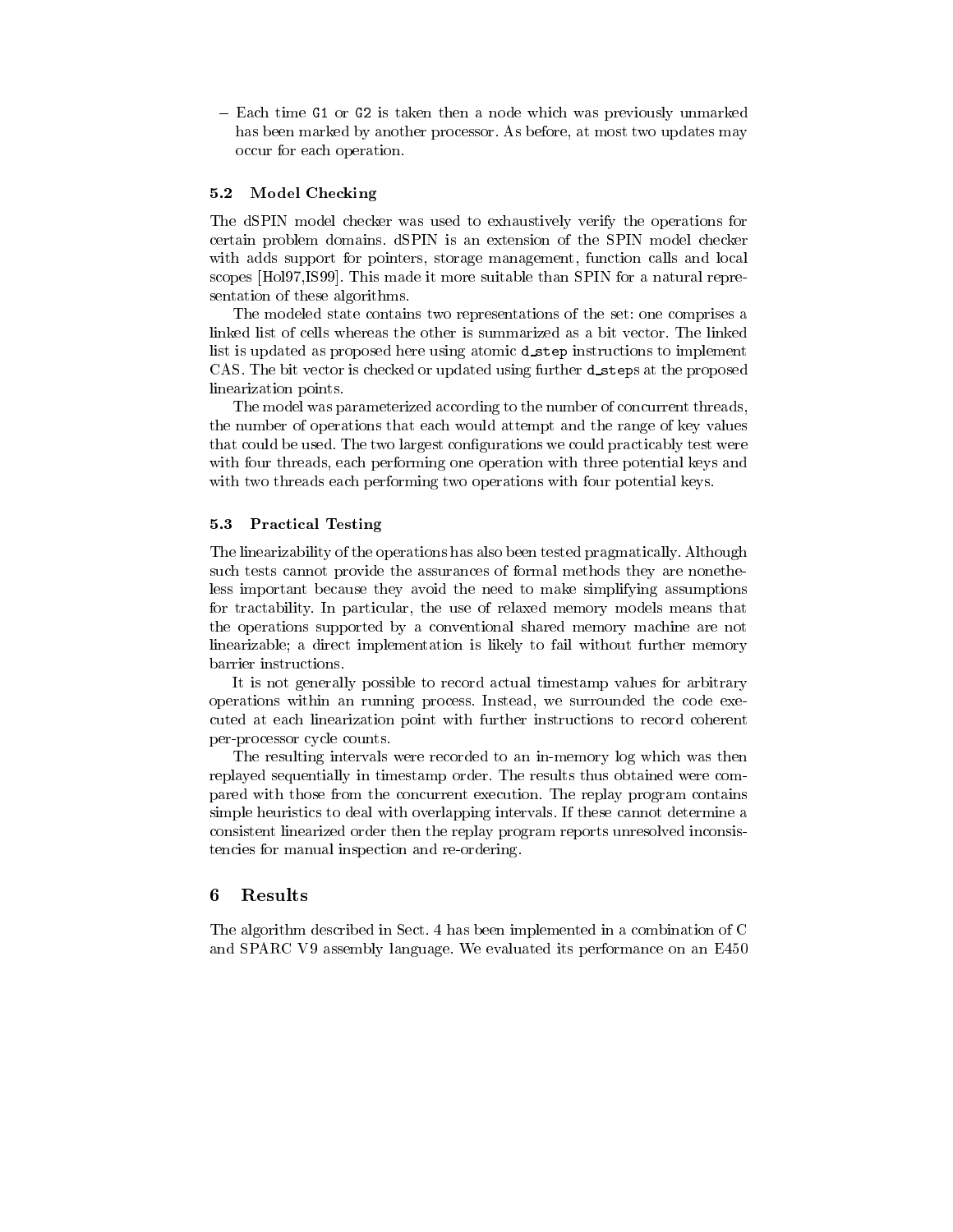- Each time G1 or G2 is taken then a node which was previously unmarked has been marked by another processor. As before, at most two updates may occur for each operation.

#### **Model Checking**  $5.2$

The dSPIN model checker was used to exhaustively verify the operations for certain problem domains. dSPIN is an extension of the SPIN model checker with adds support for pointers, storage management, function calls and local scopes [Hol97, IS99]. This made it more suitable than SPIN for a natural representation of these algorithms.

The modeled state contains two representations of the set: one comprises a linked list of cells whereas the other is summarized as a bit vector. The linked list is updated as proposed here using atomic d\_step instructions to implement CAS. The bit vector is checked or updated using further d\_steps at the proposed linearization points.

The model was parameterized according to the number of concurrent threads, the number of operations that each would attempt and the range of key values that could be used. The two largest configurations we could practicably test were with four threads, each performing one operation with three potential keys and with two threads each performing two operations with four potential keys.

#### $5.3$ **Practical Testing**

The linearizability of the operations has also been tested pragmatically. Although such tests cannot provide the assurances of formal methods they are nonetheless important because they avoid the need to make simplifying assumptions for tractability. In particular, the use of relaxed memory models means that the operations supported by a conventional shared memory machine are not linearizable; a direct implementation is likely to fail without further memory barrier instructions.

It is not generally possible to record actual timestamp values for arbitrary operations within an running process. Instead, we surrounded the code executed at each linearization point with further instructions to record coherent per-processor cycle counts.

The resulting intervals were recorded to an in-memory log which was then replayed sequentially in timestamp order. The results thus obtained were compared with those from the concurrent execution. The replay program contains simple heuristics to deal with overlapping intervals. If these cannot determine a consistent linearized order then the replay program reports unresolved inconsistencies for manual inspection and re-ordering.

#### 6 Results

The algorithm described in Sect. 4 has been implemented in a combination of C and SPARC V9 assembly language. We evaluated its performance on an E450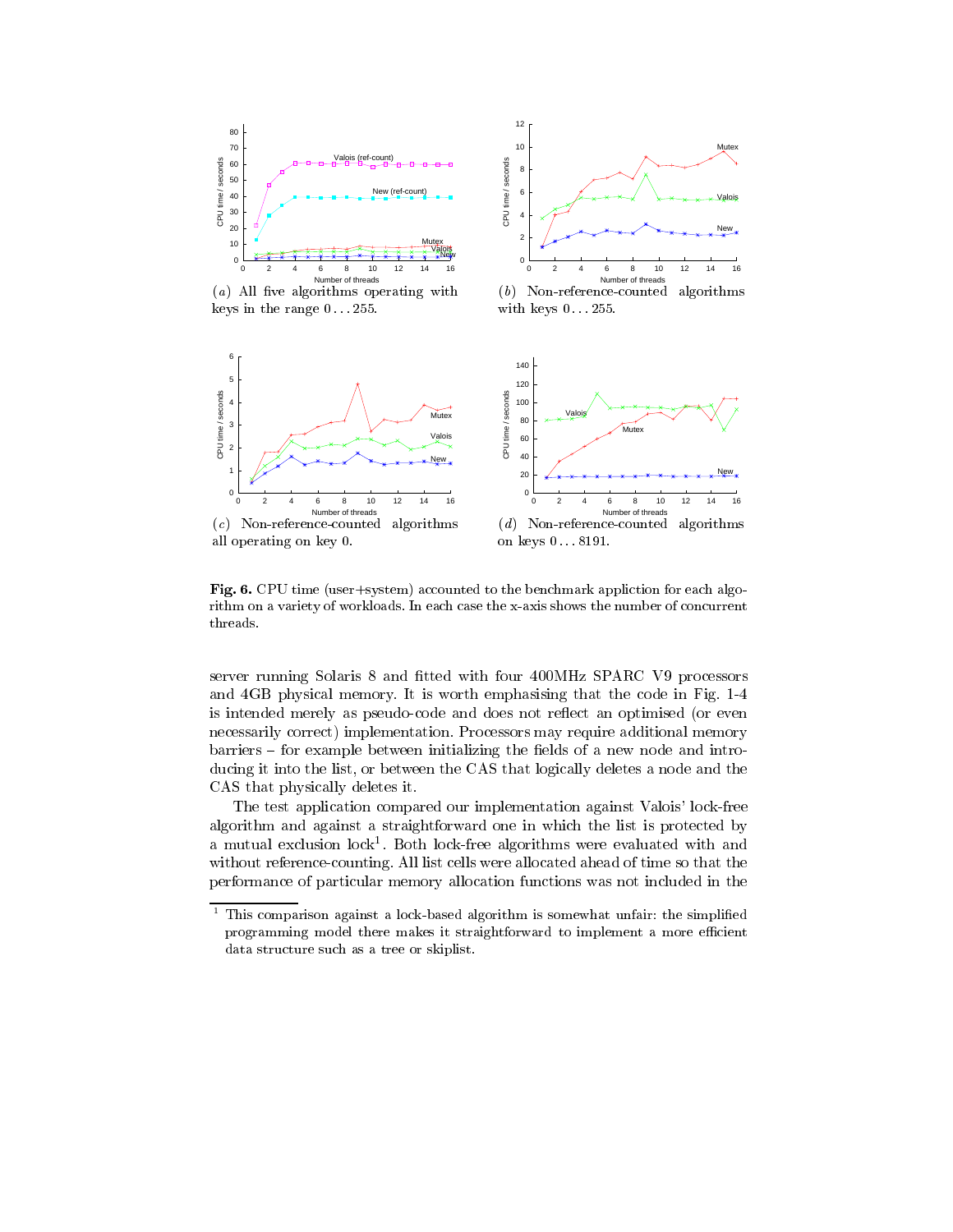



(a) All five algorithms operating with keys in the range  $0 \ldots 255$ .

 $(b)$  Non-reference-counted algorithms with keys  $0 \ldots 255$ .



Fig. 6. CPU time (user+system) accounted to the benchmark appliction for each algorithm on a variety of workloads. In each case the x-axis shows the number of concurrent threads.

server running Solaris 8 and fitted with four 400MHz SPARC V9 processors and 4GB physical memory. It is worth emphasising that the code in Fig. 1-4 is intended merely as pseudo-code and does not reflect an optimised (or even necessarily correct) implementation. Processors may require additional memory  $barriers - for example between initializing the fields of a new node and intro$ ducing it into the list, or between the CAS that logically deletes a node and the CAS that physically deletes it.

The test application compared our implementation against Valois' lock-free algorithm and against a straightforward one in which the list is protected by a mutual exclusion lock<sup>1</sup>. Both lock-free algorithms were evaluated with and without reference-counting. All list cells were allocated ahead of time so that the performance of particular memory allocation functions was not included in the

 $\mathbf{1}$ This comparison against a lock-based algorithm is somewhat unfair: the simplified programming model there makes it straightforward to implement a more efficient data structure such as a tree or skiplist.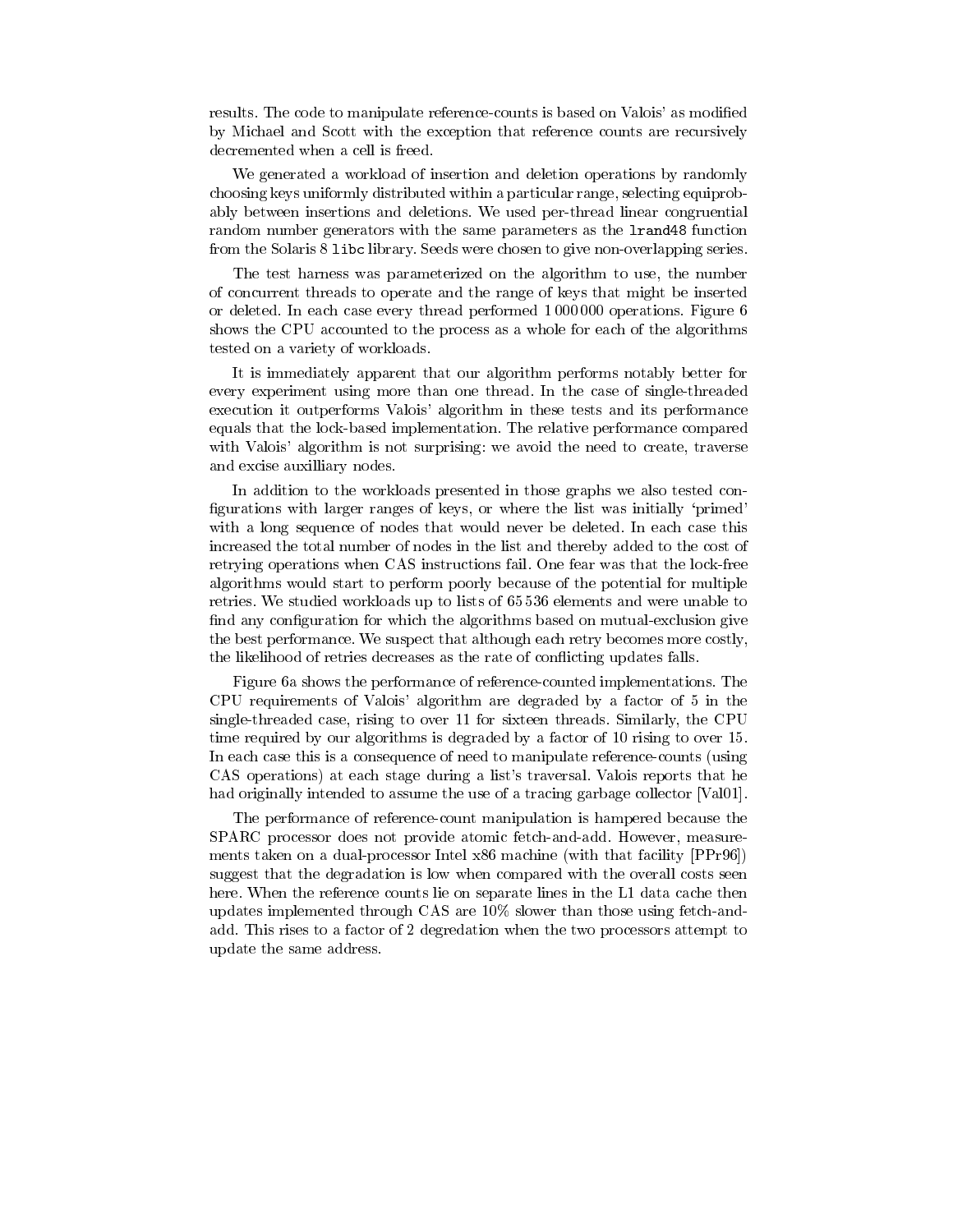results. The code to manipulate reference-counts is based on Valois' as modified by Michael and Scott with the exception that reference counts are recursively decremented when a cell is freed.

We generated a workload of insertion and deletion operations by randomly choosing keys uniformly distributed within a particular range, selecting equiprobably between insertions and deletions. We used per-thread linear congruential random number generators with the same parameters as the 1rand48 function from the Solaris 8 libc library. Seeds were chosen to give non-overlapping series.

The test harness was parameterized on the algorithm to use, the number of concurrent threads to operate and the range of keys that might be inserted or deleted. In each case every thread performed 1000000 operations. Figure 6 shows the CPU accounted to the process as a whole for each of the algorithms tested on a variety of workloads.

It is immediately apparent that our algorithm performs notably better for every experiment using more than one thread. In the case of single-threaded execution it outperforms Valois' algorithm in these tests and its performance equals that the lock-based implementation. The relative performance compared with Valois' algorithm is not surprising; we avoid the need to create, traverse and excise auxilliary nodes.

In addition to the workloads presented in those graphs we also tested configurations with larger ranges of keys, or where the list was initially 'primed' with a long sequence of nodes that would never be deleted. In each case this increased the total number of nodes in the list and thereby added to the cost of retrying operations when CAS instructions fail. One fear was that the lock-free algorithms would start to perform poorly because of the potential for multiple retries. We studied workloads up to lists of 65536 elements and were unable to find any configuration for which the algorithms based on mutual-exclusion give the best performance. We suspect that although each retry becomes more costly, the likelihood of retries decreases as the rate of conflicting updates falls.

Figure 6a shows the performance of reference-counted implementations. The CPU requirements of Valois' algorithm are degraded by a factor of 5 in the single-threaded case, rising to over 11 for sixteen threads. Similarly, the CPU time required by our algorithms is degraded by a factor of 10 rising to over 15. In each case this is a consequence of need to manipulate reference-counts (using CAS operations) at each stage during a list's traversal. Valois reports that he had originally intended to assume the use of a tracing garbage collector [Val01].

The performance of reference-count manipulation is hampered because the SPARC processor does not provide atomic fetch-and-add. However, measurements taken on a dual-processor Intel x86 machine (with that facility [PPr96]) suggest that the degradation is low when compared with the overall costs seen here. When the reference counts lie on separate lines in the L1 data cache then updates implemented through CAS are 10% slower than those using fetch-andadd. This rises to a factor of 2 degredation when the two processors attempt to update the same address.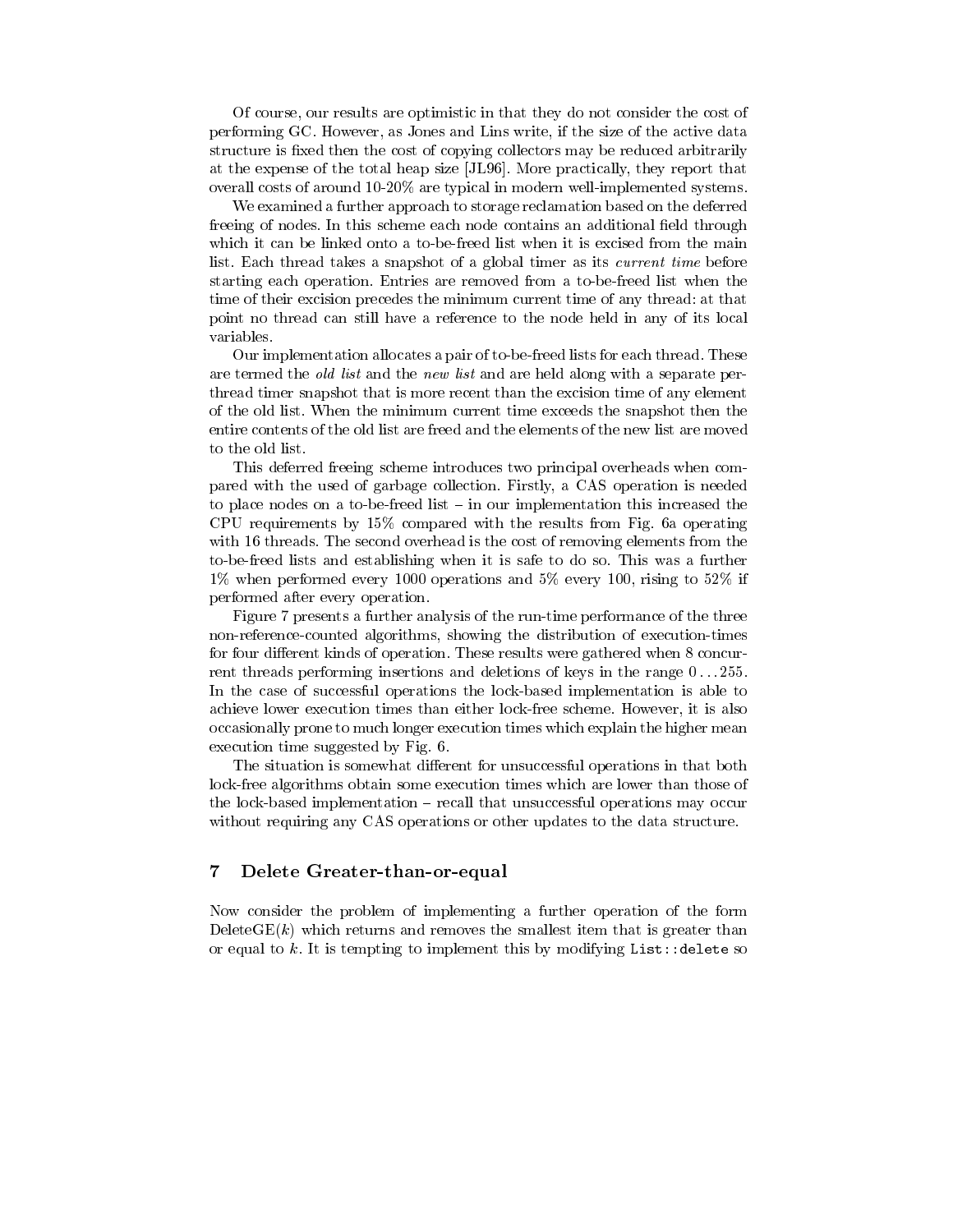Of course, our results are optimistic in that they do not consider the cost of performing GC. However, as Jones and Lins write, if the size of the active data structure is fixed then the cost of copying collectors may be reduced arbitrarily at the expense of the total heap size [JL96]. More practically, they report that overall costs of around 10-20% are typical in modern well-implemented systems.

We examined a further approach to storage reclamation based on the deferred freeing of nodes. In this scheme each node contains an additional field through which it can be linked onto a to-be-freed list when it is excised from the main list. Each thread takes a snapshot of a global timer as its *current time* before starting each operation. Entries are removed from a to-be-freed list when the time of their excision precedes the minimum current time of any thread: at that point no thread can still have a reference to the node held in any of its local variables.

Our implementation allocates a pair of to-be-freed lists for each thread. These are termed the *old list* and the *new list* and are held along with a separate perthread timer snapshot that is more recent than the excision time of any element of the old list. When the minimum current time exceeds the snapshot then the entire contents of the old list are freed and the elements of the new list are moved to the old list.

This deferred freeing scheme introduces two principal overheads when compared with the used of garbage collection. Firstly, a CAS operation is needed to place nodes on a to-be-freed list  $-$  in our implementation this increased the CPU requirements by 15% compared with the results from Fig. 6a operating with 16 threads. The second overhead is the cost of removing elements from the to-be-freed lists and establishing when it is safe to do so. This was a further 1% when performed every 1000 operations and 5% every 100, rising to 52% if performed after every operation.

Figure 7 presents a further analysis of the run-time performance of the three non-reference-counted algorithms, showing the distribution of execution-times for four different kinds of operation. These results were gathered when 8 concurrent threads performing insertions and deletions of keys in the range  $0 \dots 255$ . In the case of successful operations the lock-based implementation is able to achieve lower execution times than either lock-free scheme. However, it is also occasionally prone to much longer execution times which explain the higher mean execution time suggested by Fig. 6.

The situation is somewhat different for unsuccessful operations in that both lock-free algorithms obtain some execution times which are lower than those of the lock-based implementation - recall that unsuccessful operations may occur without requiring any CAS operations or other updates to the data structure.

#### $\overline{7}$ Delete Greater-than-or-equal

Now consider the problem of implementing a further operation of the form  $DeleteGE(k)$  which returns and removes the smallest item that is greater than or equal to  $k$ . It is tempting to implement this by modifying List:: delete so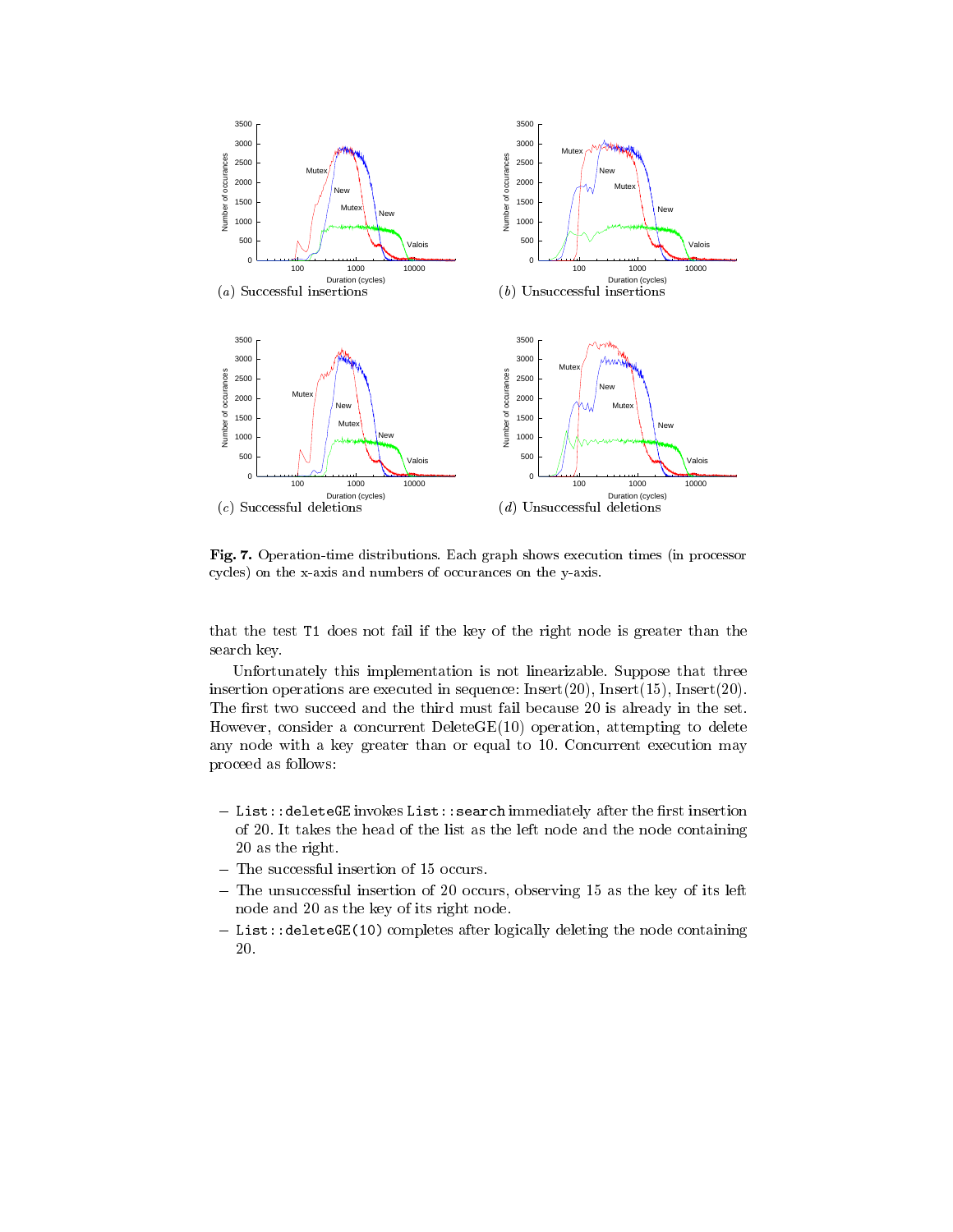

 $-$  . The contract that contracted the same  $\frac{1}{2}$  and  $\frac{1}{2}$  and  $\frac{1}{2}$  are contracted  $\frac{1}{2}$  . The processes that  $\bm{M}$  , and the contract of the contract of the contract of the contract of the contract of the contract of the contract of the contract of the contract of the contract of the contract of the contract of the contract of

that the test T1 does not fail if the key of the right node is greater than the search key.

Unfortunately this implementation is not linearizable. Suppose that three insertion operations are executed in sequence:  $Insert(20)$ ,  $Insert(15)$ ,  $Insert(20)$ . The first two succeed and the third must fail because 20 is already in the set. However, consider a concurrent  $DeleteGE(10)$  operation, attempting to delete any node with a key greater than or equal to  $10$ . Concurrent execution may proceed as follows:

- List: : deleteGE invokes List: : search immediately after the first insertion of 20. It takes the head of the list as the left node and the node containing  $20$  as the right.
- $-$  The successful insertion of 15 occurs.
- $-$  The unsuccessful insertion of 20 occurs, observing 15 as the key of its left  $\quad$  node and 20 as the key of its right node.
- List::deleteGE(10) completes after logically deleting the node containing 20.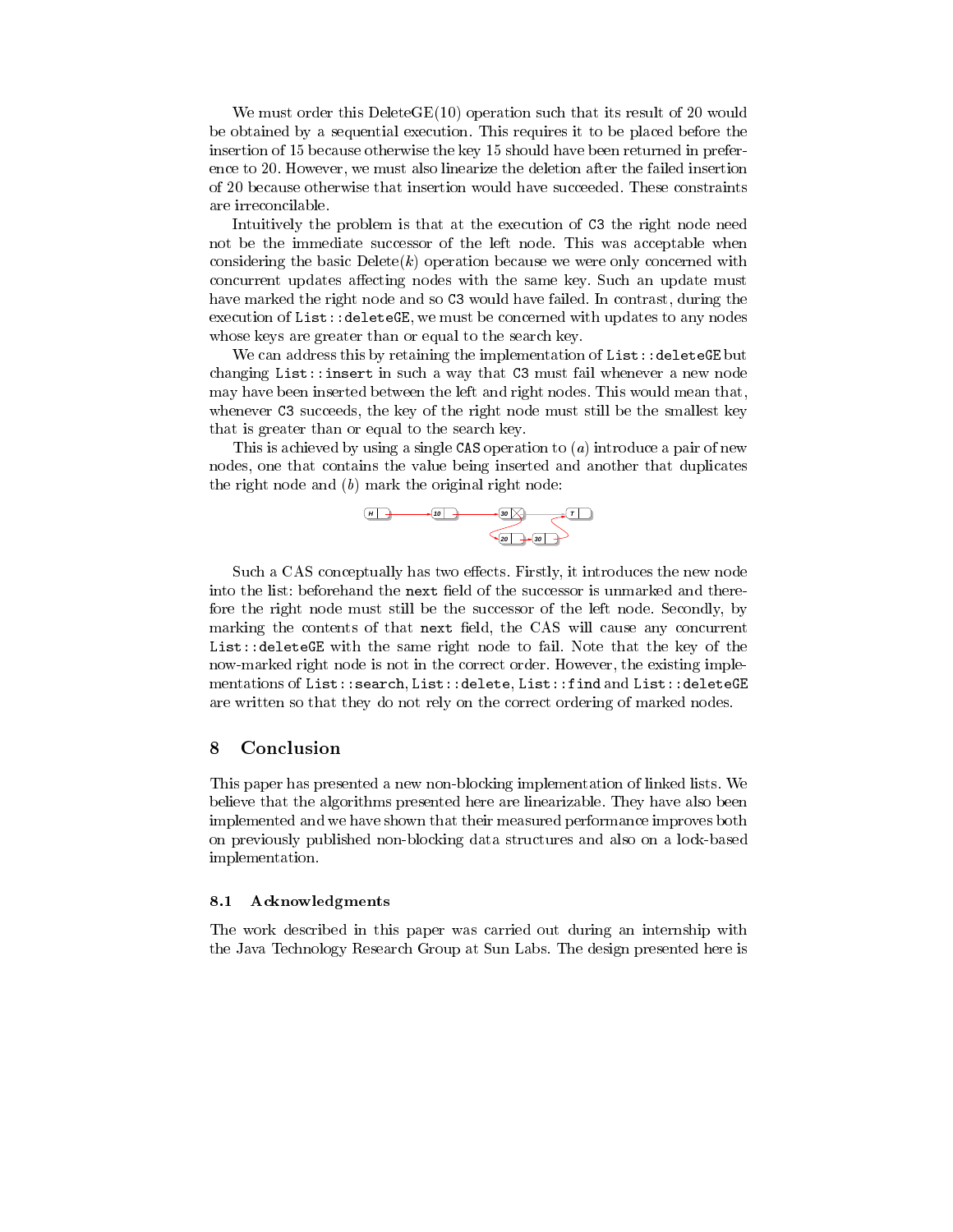We must order this DeleteGE $(10)$  operation such that its result of 20 would be obtained by a sequential execution. This requires it to be placed before the insertion of 15 because otherwise the key 15 should have been returned in preference to 20. However, we must also linearize the deletion after the failed insertion of 20 because otherwise that insertion would have succeeded. These constraints are irreconcilable.

Intuitively the problem is that at the execution of C3 the right node need not be the immediate successor of the left node. This was acceptable when considering the basic  $Delete(k)$  operation because we were only concerned with concurrent updates affecting nodes with the same key. Such an update must have marked the right node and so C3 would have failed. In contrast, during the execution of List::deleteGE, we must be concerned with updates to any nodes whose keys are greater than or equal to the search key.

We can address this by retaining the implementation of List:: deleteGE but changing List::insert in such a way that C3 must fail whenever a new node may have been inserted between the left and right nodes. This would mean that, whenever C3 succeeds, the key of the right node must still be the smallest key that is greater than or equal to the search key.

This is achieved by using a single CAS operation to  $(a)$  introduce a pair of new nodes, one that contains the value being inserted and another that duplicates the right node and  $(b)$  mark the original right node:



Such a CAS conceptually has two effects. Firstly, it introduces the new node into the list: beforehand the next field of the successor is unmarked and therefore the right node must still be the successor of the left node. Secondly, by marking the contents of that next field, the CAS will cause any concurrent List::deleteGE with the same right node to fail. Note that the key of the now-marked right node is not in the correct order. However, the existing implementations of List::search, List::delete, List::find and List::deleteGE are written so that they do not rely on the correct ordering of marked nodes.

#### Conclusion 8

This paper has presented a new non-blocking implementation of linked lists. We believe that the algorithms presented here are linearizable. They have also been implemented and we have shown that their measured performance improves both on previously published non-blocking data structures and also on a lock-based implementation.

#### 8.1 Acknowledgments

The work described in this paper was carried out during an internship with the Java Technology Research Group at Sun Labs. The design presented here is